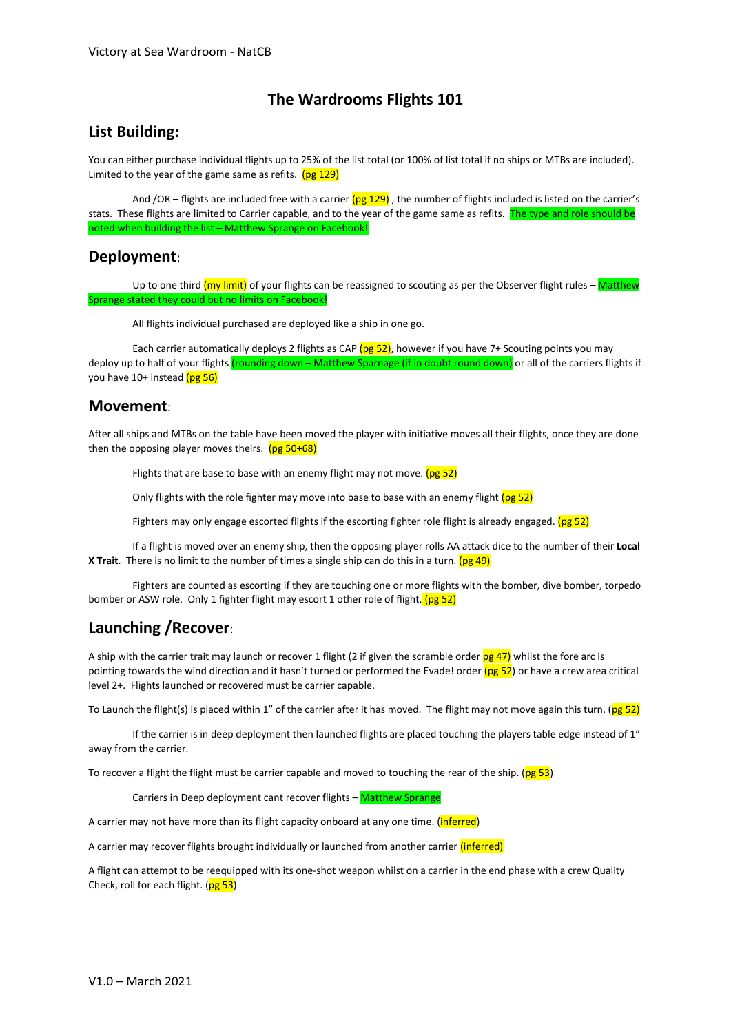# **The Wardrooms Flights 101**

### **List Building:**

You can either purchase individual flights up to 25% of the list total (or 100% of list total if no ships or MTBs are included). Limited to the year of the game same as refits.  $(pg 129)$ 

And /OR – flights are included free with a carrier  $(pg 129)$ , the number of flights included is listed on the carrier's stats. These flights are limited to Carrier capable, and to the year of the game same as refits. The type and role should be noted when building the list – Matthew Sprange on Facebook!

### **Deployment**:

Up to one third (my limit) of your flights can be reassigned to scouting as per the Observer flight rules – Matthew Sprange stated they could but no limits on Facebook!

All flights individual purchased are deployed like a ship in one go.

Each carrier automatically deploys 2 flights as CAP ( $pg$  52), however if you have 7+ Scouting points you may deploy up to half of your flights *(rounding down – Matthew Sparnage (if in doubt round down)* or all of the carriers flights if you have 10+ instead (pg 56)

#### **Movement**:

After all ships and MTBs on the table have been moved the player with initiative moves all their flights, once they are done then the opposing player moves theirs.  $(pg\ 50+68)$ 

Flights that are base to base with an enemy flight may not move.  $(pg 52)$ 

Only flights with the role fighter may move into base to base with an enemy flight (pg 52)

Fighters may only engage escorted flights if the escorting fighter role flight is already engaged. (pg 52)

If a flight is moved over an enemy ship, then the opposing player rolls AA attack dice to the number of their **Local X Trait**. There is no limit to the number of times a single ship can do this in a turn. (pg 49)

Fighters are counted as escorting if they are touching one or more flights with the bomber, dive bomber, torpedo bomber or ASW role. Only 1 fighter flight may escort 1 other role of flight. (pg 52)

## **Launching /Recover**:

A ship with the carrier trait may launch or recover 1 flight (2 if given the scramble order  $pg$  47) whilst the fore arc is pointing towards the wind direction and it hasn't turned or performed the Evade! order  $(pg 52)$  or have a crew area critical level 2+. Flights launched or recovered must be carrier capable.

To Launch the flight(s) is placed within 1" of the carrier after it has moved. The flight may not move again this turn. (pg 52)

If the carrier is in deep deployment then launched flights are placed touching the players table edge instead of 1" away from the carrier.

To recover a flight the flight must be carrier capable and moved to touching the rear of the ship. (pg 53)

Carriers in Deep deployment cant recover flights - Matthew Sprange

A carrier may not have more than its flight capacity onboard at any one time. (*inferred*)

A carrier may recover flights brought individually or launched from another carrier (inferred)

A flight can attempt to be reequipped with its one-shot weapon whilst on a carrier in the end phase with a crew Quality Check, roll for each flight.  $(\frac{p}{p} 53)$